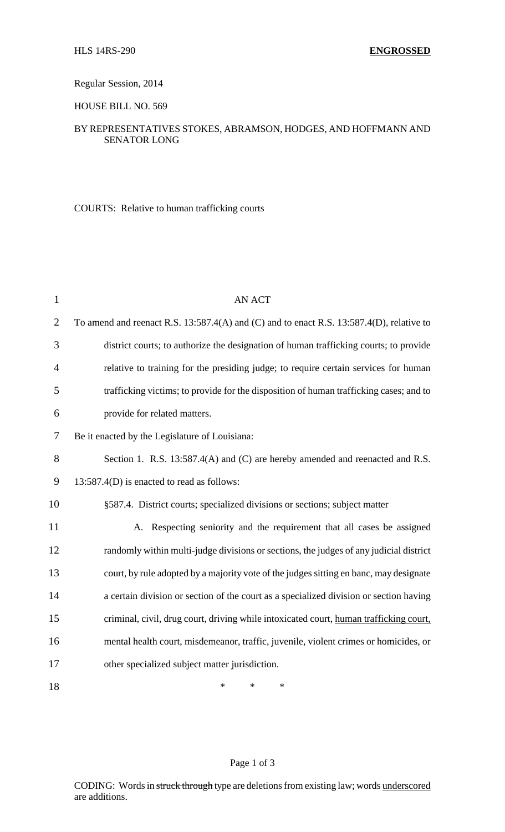Regular Session, 2014

HOUSE BILL NO. 569

## BY REPRESENTATIVES STOKES, ABRAMSON, HODGES, AND HOFFMANN AND SENATOR LONG

COURTS: Relative to human trafficking courts

| $\mathbf{1}$   | <b>AN ACT</b>                                                                            |
|----------------|------------------------------------------------------------------------------------------|
| $\overline{2}$ | To amend and reenact R.S. 13:587.4(A) and (C) and to enact R.S. 13:587.4(D), relative to |
| 3              | district courts; to authorize the designation of human trafficking courts; to provide    |
| $\overline{4}$ | relative to training for the presiding judge; to require certain services for human      |
| 5              | trafficking victims; to provide for the disposition of human trafficking cases; and to   |
| 6              | provide for related matters.                                                             |
| 7              | Be it enacted by the Legislature of Louisiana:                                           |
| 8              | Section 1. R.S. 13:587.4(A) and (C) are hereby amended and reenacted and R.S.            |
| 9              | 13:587.4(D) is enacted to read as follows:                                               |
| 10             | §587.4. District courts; specialized divisions or sections; subject matter               |
| 11             | A. Respecting seniority and the requirement that all cases be assigned                   |
| 12             | randomly within multi-judge divisions or sections, the judges of any judicial district   |
| 13             | court, by rule adopted by a majority vote of the judges sitting en banc, may designate   |
| 14             | a certain division or section of the court as a specialized division or section having   |
| 15             | criminal, civil, drug court, driving while intoxicated court, human trafficking court,   |
| 16             | mental health court, misdemeanor, traffic, juvenile, violent crimes or homicides, or     |
| 17             | other specialized subject matter jurisdiction.                                           |
| 18             | *<br>*<br>*                                                                              |

## Page 1 of 3

CODING: Words in struck through type are deletions from existing law; words underscored are additions.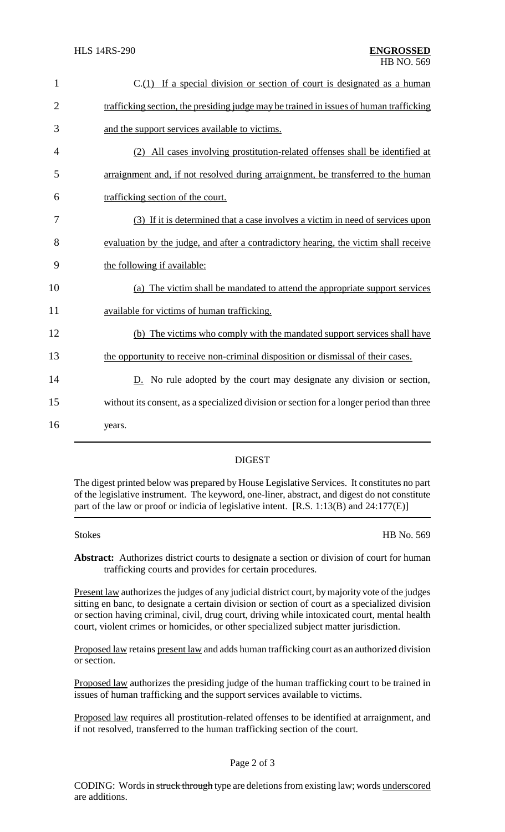| $\mathbf{1}$   | C.(1) If a special division or section of court is designated as a human                 |
|----------------|------------------------------------------------------------------------------------------|
| $\overline{2}$ | trafficking section, the presiding judge may be trained in issues of human trafficking   |
| 3              | and the support services available to victims.                                           |
| 4              | (2) All cases involving prostitution-related offenses shall be identified at             |
| 5              | arraignment and, if not resolved during arraignment, be transferred to the human         |
| 6              | trafficking section of the court.                                                        |
| 7              | (3) If it is determined that a case involves a victim in need of services upon           |
| 8              | evaluation by the judge, and after a contradictory hearing, the victim shall receive     |
| 9              | the following if available:                                                              |
| 10             | (a) The victim shall be mandated to attend the appropriate support services              |
| 11             | available for victims of human trafficking.                                              |
| 12             | (b) The victims who comply with the mandated support services shall have                 |
| 13             | the opportunity to receive non-criminal disposition or dismissal of their cases.         |
| 14             | $D.$ No rule adopted by the court may designate any division or section,                 |
| 15             | without its consent, as a specialized division or section for a longer period than three |
| 16             | years.                                                                                   |
|                |                                                                                          |

## DIGEST

The digest printed below was prepared by House Legislative Services. It constitutes no part of the legislative instrument. The keyword, one-liner, abstract, and digest do not constitute part of the law or proof or indicia of legislative intent. [R.S. 1:13(B) and 24:177(E)]

Stokes HB No. 569

**Abstract:** Authorizes district courts to designate a section or division of court for human trafficking courts and provides for certain procedures.

Present law authorizes the judges of any judicial district court, by majority vote of the judges sitting en banc, to designate a certain division or section of court as a specialized division or section having criminal, civil, drug court, driving while intoxicated court, mental health court, violent crimes or homicides, or other specialized subject matter jurisdiction.

Proposed law retains present law and adds human trafficking court as an authorized division or section.

Proposed law authorizes the presiding judge of the human trafficking court to be trained in issues of human trafficking and the support services available to victims.

Proposed law requires all prostitution-related offenses to be identified at arraignment, and if not resolved, transferred to the human trafficking section of the court.